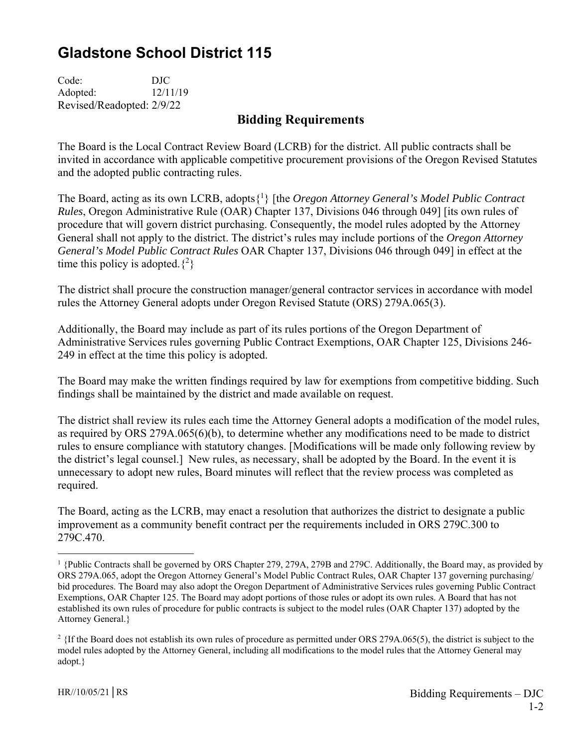## **Gladstone School District 115**

Code: DJC Adopted: 12/11/19 Revised/Readopted: 2/9/22

## **Bidding Requirements**

The Board is the Local Contract Review Board (LCRB) for the district. All public contracts shall be invited in accordance with applicable competitive procurement provisions of the Oregon Revised Statutes and the adopted public contracting rules.

The Board, acting as its own LCRB, adopts{1 } [the *Oregon Attorney General's Model Public Contract Rules*, Oregon Administrative Rule (OAR) Chapter 137, Divisions 046 through 049] [its own rules of procedure that will govern district purchasing. Consequently, the model rules adopted by the Attorney General shall not apply to the district. The district's rules may include portions of the *Oregon Attorney General's Model Public Contract Rules* OAR Chapter 137, Divisions 046 through 049] in effect at the time this policy is adopted.  $\{^{2}\}$ 

The district shall procure the construction manager/general contractor services in accordance with model rules the Attorney General adopts under Oregon Revised Statute (ORS) 279A.065(3).

Additionally, the Board may include as part of its rules portions of the Oregon Department of Administrative Services rules governing Public Contract Exemptions, OAR Chapter 125, Divisions 246- 249 in effect at the time this policy is adopted.

The Board may make the written findings required by law for exemptions from competitive bidding. Such findings shall be maintained by the district and made available on request.

The district shall review its rules each time the Attorney General adopts a modification of the model rules, as required by ORS 279A.065(6)(b), to determine whether any modifications need to be made to district rules to ensure compliance with statutory changes. [Modifications will be made only following review by the district's legal counsel.] New rules, as necessary, shall be adopted by the Board. In the event it is unnecessary to adopt new rules, Board minutes will reflect that the review process was completed as required.

The Board, acting as the LCRB, may enact a resolution that authorizes the district to designate a public improvement as a community benefit contract per the requirements included in ORS 279C.300 to 279C.470.

 $\overline{a}$ 

<sup>&</sup>lt;sup>1</sup> {Public Contracts shall be governed by ORS Chapter 279, 279A, 279B and 279C. Additionally, the Board may, as provided by ORS 279A.065, adopt the Oregon Attorney General's Model Public Contract Rules, OAR Chapter 137 governing purchasing/ bid procedures. The Board may also adopt the Oregon Department of Administrative Services rules governing Public Contract Exemptions, OAR Chapter 125. The Board may adopt portions of those rules or adopt its own rules. A Board that has not established its own rules of procedure for public contracts is subject to the model rules (OAR Chapter 137) adopted by the Attorney General.}

<sup>&</sup>lt;sup>2</sup> {If the Board does not establish its own rules of procedure as permitted under ORS 279A.065(5), the district is subject to the model rules adopted by the Attorney General, including all modifications to the model rules that the Attorney General may adopt.}